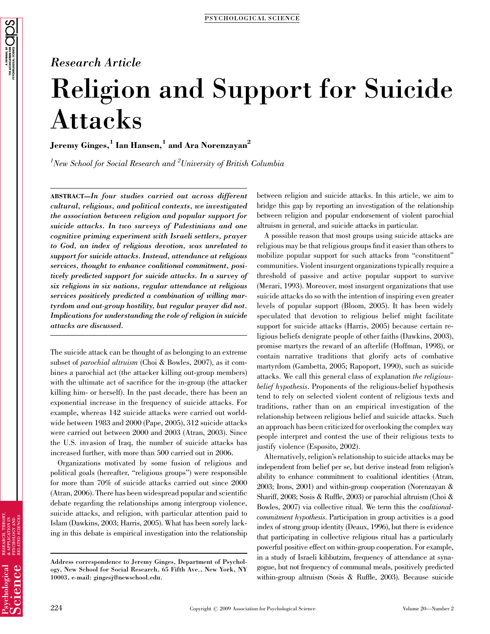# Research Article

# Religion and Support for Suicide Attacks

Jeremy Ginges,<sup>1</sup> Ian Hansen,<sup>1</sup> and Ara Norenzayan<sup>2</sup>

 $^{\rm 1}$ New School for Social Research and  $^{\rm 2}$ University of British Columbia

ABSTRACT—In four studies carried out across different cultural, religious, and political contexts, we investigated the association between religion and popular support for suicide attacks. In two surveys of Palestinians and one cognitive priming experiment with Israeli settlers, prayer to God, an index of religious devotion, was unrelated to support for suicide attacks. Instead, attendance at religious services, thought to enhance coalitional commitment, positively predicted support for suicide attacks. In a survey of six religions in six nations, regular attendance at religious services positively predicted a combination of willing martyrdom and out-group hostility, but regular prayer did not. Implications for understanding the role of religion in suicide attacks are discussed.

The suicide attack can be thought of as belonging to an extreme subset of parochial altruism (Choi & Bowles, 2007), as it combines a parochial act (the attacker killing out-group members) with the ultimate act of sacrifice for the in-group (the attacker killing him- or herself). In the past decade, there has been an exponential increase in the frequency of suicide attacks. For example, whereas 142 suicide attacks were carried out worldwide between 1983 and 2000 (Pape, 2005), 312 suicide attacks were carried out between 2000 and 2003 (Atran, 2003). Since the U.S. invasion of Iraq, the number of suicide attacks has increased further, with more than 500 carried out in 2006.

Organizations motivated by some fusion of religious and political goals (hereafter, ''religious groups'') were responsible for more than 70% of suicide attacks carried out since 2000 (Atran, 2006). There has been widespread popular and scientific debate regarding the relationships among intergroup violence, suicide attacks, and religion, with particular attention paid to Islam (Dawkins, 2003; Harris, 2005). What has been sorely lacking in this debate is empirical investigation into the relationship

between religion and suicide attacks. In this article, we aim to bridge this gap by reporting an investigation of the relationship between religion and popular endorsement of violent parochial altruism in general, and suicide attacks in particular.

A possible reason that most groups using suicide attacks are religious may be that religious groups find it easier than others to mobilize popular support for such attacks from ''constituent'' communities. Violent insurgent organizations typically require a threshold of passive and active popular support to survive (Merari, 1993). Moreover, most insurgent organizations that use suicide attacks do so with the intention of inspiring even greater levels of popular support (Bloom, 2005). It has been widely speculated that devotion to religious belief might facilitate support for suicide attacks (Harris, 2005) because certain religious beliefs denigrate people of other faiths (Dawkins, 2003), promise martyrs the reward of an afterlife (Hoffman, 1998), or contain narrative traditions that glorify acts of combative martyrdom (Gambetta, 2005; Rapoport, 1990), such as suicide attacks. We call this general class of explanation the religiousbelief hypothesis. Proponents of the religious-belief hypothesis tend to rely on selected violent content of religious texts and traditions, rather than on an empirical investigation of the relationship between religious belief and suicide attacks. Such an approach has been criticized for overlooking the complex way people interpret and contest the use of their religious texts to justify violence (Esposito, 2002).

Alternatively, religion's relationship to suicide attacks may be independent from belief per se, but derive instead from religion's ability to enhance commitment to coalitional identities (Atran, 2003; Irons, 2001) and within-group cooperation (Norenzayan & Shariff, 2008; Sosis & Ruffle, 2003) or parochial altruism (Choi & Bowles, 2007) via collective ritual. We term this the coalitionalcommitment hypothesis. Participation in group activities is a good index of strong group identity (Deaux, 1996), but there is evidence that participating in collective religious ritual has a particularly powerful positive effect on within-group cooperation. For example, in a study of Israeli kibbutzim, frequency of attendance at synagogue, but not frequency of communal meals, positively predicted within-group altruism (Sosis & Ruffle, 2003). Because suicide

Address correspondence to Jeremy Ginges, Department of Psychology, New School for Social Research, 65 Fifth Ave., New York, NY 10003, e-mail: gingesj@newschool.edu.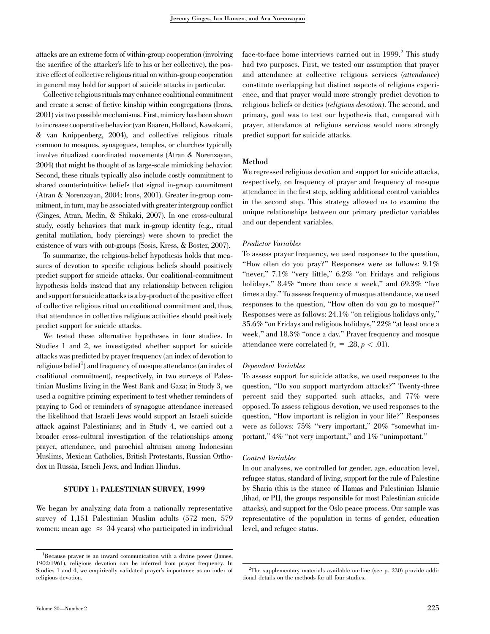attacks are an extreme form of within-group cooperation (involving the sacrifice of the attacker's life to his or her collective), the positive effect of collective religious ritual on within-group cooperation in general may hold for support of suicide attacks in particular.

Collective religious rituals may enhance coalitional commitment and create a sense of fictive kinship within congregations (Irons, 2001) via two possible mechanisms. First, mimicry has been shown to increase cooperative behavior (van Baaren, Holland, Kawakami, & van Knippenberg, 2004), and collective religious rituals common to mosques, synagogues, temples, or churches typically involve ritualized coordinated movements (Atran & Norenzayan, 2004) that might be thought of as large-scale mimicking behavior. Second, these rituals typically also include costly commitment to shared counterintuitive beliefs that signal in-group commitment (Atran & Norenzayan, 2004; Irons, 2001). Greater in-group commitment, in turn, may be associated with greater intergroup conflict (Ginges, Atran, Medin, & Shikaki, 2007). In one cross-cultural study, costly behaviors that mark in-group identity (e.g., ritual genital mutilation, body piercings) were shown to predict the existence of wars with out-groups (Sosis, Kress, & Boster, 2007).

To summarize, the religious-belief hypothesis holds that measures of devotion to specific religious beliefs should positively predict support for suicide attacks. Our coalitional-commitment hypothesis holds instead that any relationship between religion and support for suicide attacks is a by-product of the positive effect of collective religious ritual on coalitional commitment and, thus, that attendance in collective religious activities should positively predict support for suicide attacks.

We tested these alternative hypotheses in four studies. In Studies 1 and 2, we investigated whether support for suicide attacks was predicted by prayer frequency (an index of devotion to religious belief $^{\rm l}$ ) and frequency of mosque attendance (an index of coalitional commitment), respectively, in two surveys of Palestinian Muslims living in the West Bank and Gaza; in Study 3, we used a cognitive priming experiment to test whether reminders of praying to God or reminders of synagogue attendance increased the likelihood that Israeli Jews would support an Israeli suicide attack against Palestinians; and in Study 4, we carried out a broader cross-cultural investigation of the relationships among prayer, attendance, and parochial altruism among Indonesian Muslims, Mexican Catholics, British Protestants, Russian Orthodox in Russia, Israeli Jews, and Indian Hindus.

# STUDY 1: PALESTINIAN SURVEY, 1999

We began by analyzing data from a nationally representative survey of 1,151 Palestinian Muslim adults (572 men, 579 women; mean age  $\approx$  34 years) who participated in individual

<sup>1</sup>Because prayer is an inward communication with a divine power (James, 1902/1961), religious devotion can be inferred from prayer frequency. In Studies 1 and 4, we empirically validated prayer's importance as an index of religious devotion.

face-to-face home interviews carried out in  $1999<sup>2</sup>$ . This study had two purposes. First, we tested our assumption that prayer and attendance at collective religious services (attendance) constitute overlapping but distinct aspects of religious experience, and that prayer would more strongly predict devotion to religious beliefs or deities (religious devotion). The second, and primary, goal was to test our hypothesis that, compared with prayer, attendance at religious services would more strongly predict support for suicide attacks.

#### Method

We regressed religious devotion and support for suicide attacks, respectively, on frequency of prayer and frequency of mosque attendance in the first step, adding additional control variables in the second step. This strategy allowed us to examine the unique relationships between our primary predictor variables and our dependent variables.

#### Predictor Variables

To assess prayer frequency, we used responses to the question, ''How often do you pray?'' Responses were as follows: 9.1% "never," 7.1% "very little," 6.2% "on Fridays and religious holidays," 8.4% "more than once a week," and 69.3% "five times a day.'' To assess frequency of mosque attendance, we used responses to the question, ''How often do you go to mosque?'' Responses were as follows: 24.1% ''on religious holidays only,'' 35.6% ''on Fridays and religious holidays,'' 22% ''at least once a week,'' and 18.3% ''once a day.'' Prayer frequency and mosque attendance were correlated  $(r_s = .28, p < .01)$ .

#### Dependent Variables

To assess support for suicide attacks, we used responses to the question, ''Do you support martyrdom attacks?'' Twenty-three percent said they supported such attacks, and 77% were opposed. To assess religious devotion, we used responses to the question, ''How important is religion in your life?'' Responses were as follows: 75% "very important," 20% "somewhat important," 4% "not very important," and 1% "unimportant."

#### Control Variables

In our analyses, we controlled for gender, age, education level, refugee status, standard of living, support for the rule of Palestine by Sharia (this is the stance of Hamas and Palestinian Islamic Jihad, or PIJ, the groups responsible for most Palestinian suicide attacks), and support for the Oslo peace process. Our sample was representative of the population in terms of gender, education level, and refugee status.

<sup>&</sup>lt;sup>2</sup>The supplementary materials available on-line (see p. 230) provide additional details on the methods for all four studies.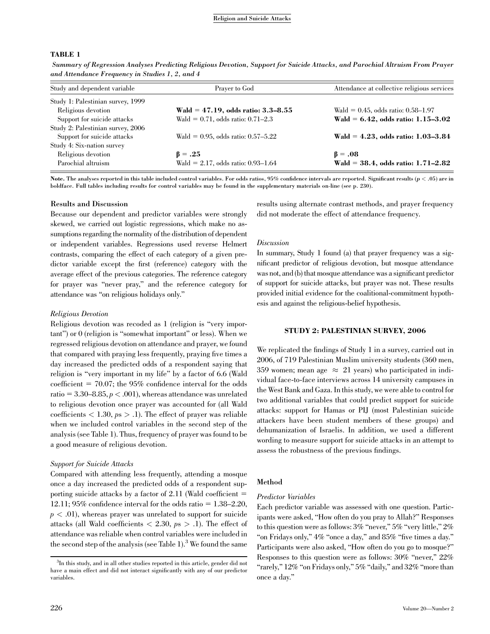#### TABLE 1

| Study and dependent variable      | Prayer to God                             | Attendance at collective religious services |
|-----------------------------------|-------------------------------------------|---------------------------------------------|
| Study 1: Palestinian survey, 1999 |                                           |                                             |
| Religious devotion                | Wald = $47.19$ , odds ratio: $3.3-8.55$   | Wald = $0.45$ , odds ratio: $0.58 - 1.97$   |
| Support for suicide attacks       | Wald = $0.71$ , odds ratio: $0.71-2.3$    | Wald = $6.42$ , odds ratio: $1.15 - 3.02$   |
| Study 2: Palestinian survey, 2006 |                                           |                                             |
| Support for suicide attacks       | Wald = $0.95$ , odds ratio: $0.57 - 5.22$ | Wald = $4.23$ , odds ratio: 1.03-3.84       |
| Study 4: Six-nation survey        |                                           |                                             |
| Religious devotion                | $\beta = .25$                             | $\beta = .08$                               |
| Parochial altruism                | Wald = $2.17$ , odds ratio: 0.93–1.64     | Wald = $38.4$ , odds ratio: 1.71-2.82       |

Summary of Regression Analyses Predicting Religious Devotion, Support for Suicide Attacks, and Parochial Altruism From Prayer and Attendance Frequency in Studies 1, 2, and 4

Note. The analyses reported in this table included control variables. For odds ratios,  $95\%$  confidence intervals are reported. Significant results ( $p < .05$ ) are in boldface. Full tables including results for control variables may be found in the supplementary materials on-line (see p. 230).

#### Results and Discussion

Because our dependent and predictor variables were strongly skewed, we carried out logistic regressions, which make no assumptions regarding the normality of the distribution of dependent or independent variables. Regressions used reverse Helmert contrasts, comparing the effect of each category of a given predictor variable except the first (reference) category with the average effect of the previous categories. The reference category for prayer was ''never pray,'' and the reference category for attendance was ''on religious holidays only.''

## Religious Devotion

Religious devotion was recoded as 1 (religion is ''very important'') or 0 (religion is ''somewhat important'' or less). When we regressed religious devotion on attendance and prayer, we found that compared with praying less frequently, praying five times a day increased the predicted odds of a respondent saying that religion is ''very important in my life'' by a factor of 6.6 (Wald coefficient  $= 70.07$ ; the 95% confidence interval for the odds ratio =  $3.30-8.85$ ,  $p < .001$ ), whereas attendance was unrelated to religious devotion once prayer was accounted for (all Wald coefficients  $< 1.30$ ,  $p_s > .1$ ). The effect of prayer was reliable when we included control variables in the second step of the analysis (see Table 1). Thus, frequency of prayer was found to be a good measure of religious devotion.

#### Support for Suicide Attacks

Compared with attending less frequently, attending a mosque once a day increased the predicted odds of a respondent supporting suicide attacks by a factor of 2.11 (Wald coefficient  $=$ 12.11; 95% confidence interval for the odds ratio  $= 1.38 - 2.20$ ,  $p < .01$ ), whereas prayer was unrelated to support for suicide attacks (all Wald coefficients  $\langle 2.30, p s \rangle$ ). The effect of attendance was reliable when control variables were included in the second step of the analysis (see Table 1).<sup>3</sup> We found the same results using alternate contrast methods, and prayer frequency did not moderate the effect of attendance frequency.

# **Discussion**

In summary, Study 1 found (a) that prayer frequency was a significant predictor of religious devotion, but mosque attendance was not, and (b) that mosque attendance was a significant predictor of support for suicide attacks, but prayer was not. These results provided initial evidence for the coalitional-commitment hypothesis and against the religious-belief hypothesis.

#### STUDY 2: PALESTINIAN SURVEY, 2006

We replicated the findings of Study 1 in a survey, carried out in 2006, of 719 Palestinian Muslim university students (360 men, 359 women; mean age  $\approx 21$  years) who participated in individual face-to-face interviews across 14 university campuses in the West Bank and Gaza. In this study, we were able to control for two additional variables that could predict support for suicide attacks: support for Hamas or PIJ (most Palestinian suicide attackers have been student members of these groups) and dehumanization of Israelis. In addition, we used a different wording to measure support for suicide attacks in an attempt to assess the robustness of the previous findings.

#### Method

# Predictor Variables

Each predictor variable was assessed with one question. Participants were asked, ''How often do you pray to Allah?'' Responses to this question were as follows: 3% ''never,'' 5% ''very little,'' 2% ''on Fridays only,'' 4% ''once a day,'' and 85% ''five times a day.'' Participants were also asked, "How often do you go to mosque?" Responses to this question were as follows: 30% ''never,'' 22% "rarely," 12% "on Fridays only," 5% "daily," and 32% "more than once a day.''

 ${}^{3}$ In this study, and in all other studies reported in this article, gender did not have a main effect and did not interact significantly with any of our predictor variables.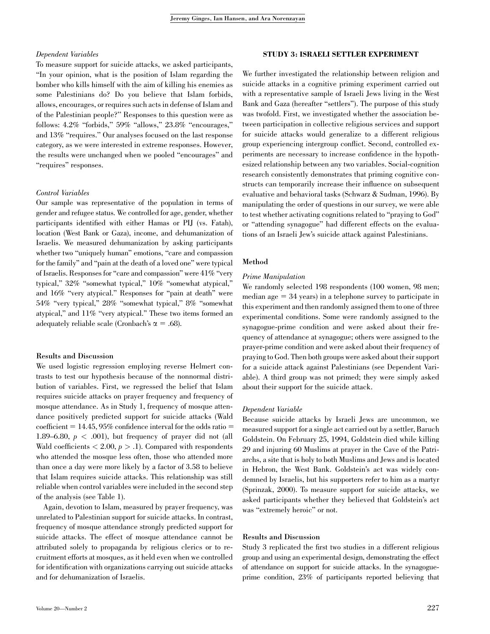#### Dependent Variables

To measure support for suicide attacks, we asked participants, ''In your opinion, what is the position of Islam regarding the bomber who kills himself with the aim of killing his enemies as some Palestinians do? Do you believe that Islam forbids, allows, encourages, or requires such acts in defense of Islam and of the Palestinian people?'' Responses to this question were as follows: 4.2% ''forbids,'' 59% ''allows,'' 23.8% ''encourages,'' and 13% ''requires.'' Our analyses focused on the last response category, as we were interested in extreme responses. However, the results were unchanged when we pooled ''encourages'' and "requires" responses.

# Control Variables

Our sample was representative of the population in terms of gender and refugee status. We controlled for age, gender, whether participants identified with either Hamas or PIJ (vs. Fatah), location (West Bank or Gaza), income, and dehumanization of Israelis. We measured dehumanization by asking participants whether two "uniquely human" emotions, "care and compassion for the family'' and ''pain at the death of a loved one'' were typical of Israelis. Responses for ''care and compassion'' were 41% ''very typical,'' 32% ''somewhat typical,'' 10% ''somewhat atypical,'' and 16% ''very atypical.'' Responses for ''pain at death'' were 54% ''very typical,'' 28% ''somewhat typical,'' 8% ''somewhat atypical," and 11% "very atypical." These two items formed an adequately reliable scale (Cronbach's  $\alpha = .68$ ).

# Results and Discussion

We used logistic regression employing reverse Helmert contrasts to test our hypothesis because of the nonnormal distribution of variables. First, we regressed the belief that Islam requires suicide attacks on prayer frequency and frequency of mosque attendance. As in Study 1, frequency of mosque attendance positively predicted support for suicide attacks (Wald coefficient  $= 14.45, 95\%$  confidence interval for the odds ratio  $=$ 1.89–6.80,  $p < .001$ ), but frequency of prayer did not (all Wald coefficients  $\langle 2.00, p \rangle$ . Compared with respondents who attended the mosque less often, those who attended more than once a day were more likely by a factor of 3.58 to believe that Islam requires suicide attacks. This relationship was still reliable when control variables were included in the second step of the analysis (see Table 1).

Again, devotion to Islam, measured by prayer frequency, was unrelated to Palestinian support for suicide attacks. In contrast, frequency of mosque attendance strongly predicted support for suicide attacks. The effect of mosque attendance cannot be attributed solely to propaganda by religious clerics or to recruitment efforts at mosques, as it held even when we controlled for identification with organizations carrying out suicide attacks and for dehumanization of Israelis.

#### STUDY 3: ISRAELI SETTLER EXPERIMENT

We further investigated the relationship between religion and suicide attacks in a cognitive priming experiment carried out with a representative sample of Israeli Jews living in the West Bank and Gaza (hereafter ''settlers''). The purpose of this study was twofold. First, we investigated whether the association between participation in collective religious services and support for suicide attacks would generalize to a different religious group experiencing intergroup conflict. Second, controlled experiments are necessary to increase confidence in the hypothesized relationship between any two variables. Social-cognition research consistently demonstrates that priming cognitive constructs can temporarily increase their influence on subsequent evaluative and behavioral tasks (Schwarz & Sudman, 1996). By manipulating the order of questions in our survey, we were able to test whether activating cognitions related to ''praying to God'' or ''attending synagogue'' had different effects on the evaluations of an Israeli Jew's suicide attack against Palestinians.

#### Method

# Prime Manipulation

We randomly selected 198 respondents (100 women, 98 men; median age  $=$  34 years) in a telephone survey to participate in this experiment and then randomly assigned them to one of three experimental conditions. Some were randomly assigned to the synagogue-prime condition and were asked about their frequency of attendance at synagogue; others were assigned to the prayer-prime condition and were asked about their frequency of praying to God. Then both groups were asked about their support for a suicide attack against Palestinians (see Dependent Variable). A third group was not primed; they were simply asked about their support for the suicide attack.

# Dependent Variable

Because suicide attacks by Israeli Jews are uncommon, we measured support for a single act carried out by a settler, Baruch Goldstein. On February 25, 1994, Goldstein died while killing 29 and injuring 60 Muslims at prayer in the Cave of the Patriarchs, a site that is holy to both Muslims and Jews and is located in Hebron, the West Bank. Goldstein's act was widely condemned by Israelis, but his supporters refer to him as a martyr (Sprinzak, 2000). To measure support for suicide attacks, we asked participants whether they believed that Goldstein's act was ''extremely heroic'' or not.

#### Results and Discussion

Study 3 replicated the first two studies in a different religious group and using an experimental design, demonstrating the effect of attendance on support for suicide attacks. In the synagogueprime condition, 23% of participants reported believing that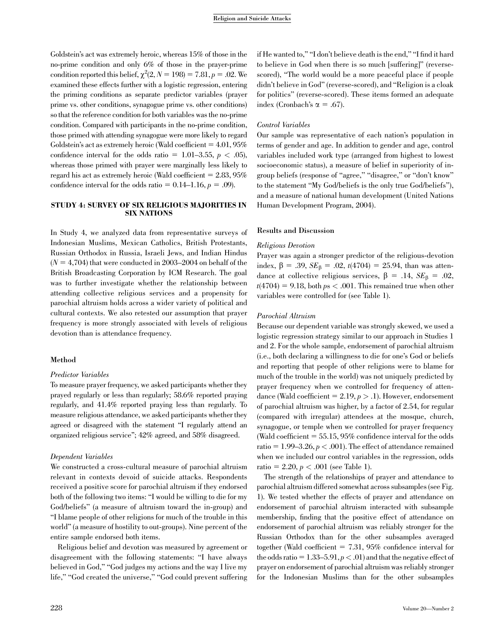Goldstein's act was extremely heroic, whereas 15% of those in the no-prime condition and only 6% of those in the prayer-prime condition reported this belief,  $\chi^2(2, N = 198) = 7.81, p = .02$ . We examined these effects further with a logistic regression, entering the priming conditions as separate predictor variables (prayer prime vs. other conditions, synagogue prime vs. other conditions) so that the reference condition for both variables was the no-prime condition. Compared with participants in the no-prime condition, those primed with attending synagogue were more likely to regard Goldstein's act as extremely heroic (Wald coefficient  $= 4.01, 95\%$ confidence interval for the odds ratio = 1.01–3.55,  $p < .05$ ), whereas those primed with prayer were marginally less likely to regard his act as extremely heroic (Wald coefficient  $= 2.83, 95\%$ confidence interval for the odds ratio =  $0.14-1.16$ ,  $p = .09$ ).

# STUDY 4: SURVEY OF SIX RELIGIOUS MAJORITIES IN SIX NATIONS

In Study 4, we analyzed data from representative surveys of Indonesian Muslims, Mexican Catholics, British Protestants, Russian Orthodox in Russia, Israeli Jews, and Indian Hindus  $(N = 4,704)$  that were conducted in 2003–2004 on behalf of the British Broadcasting Corporation by ICM Research. The goal was to further investigate whether the relationship between attending collective religious services and a propensity for parochial altruism holds across a wider variety of political and cultural contexts. We also retested our assumption that prayer frequency is more strongly associated with levels of religious devotion than is attendance frequency.

# Method

#### Predictor Variables

To measure prayer frequency, we asked participants whether they prayed regularly or less than regularly; 58.6% reported praying regularly, and 41.4% reported praying less than regularly. To measure religious attendance, we asked participants whether they agreed or disagreed with the statement ''I regularly attend an organized religious service''; 42% agreed, and 58% disagreed.

#### Dependent Variables

We constructed a cross-cultural measure of parochial altruism relevant in contexts devoid of suicide attacks. Respondents received a positive score for parochial altruism if they endorsed both of the following two items: ''I would be willing to die for my God/beliefs'' (a measure of altruism toward the in-group) and ''I blame people of other religions for much of the trouble in this world'' (a measure of hostility to out-groups). Nine percent of the entire sample endorsed both items.

Religious belief and devotion was measured by agreement or disagreement with the following statements: ''I have always believed in God," "God judges my actions and the way I live my life," "God created the universe," "God could prevent suffering if He wanted to,'' ''I don't believe death is the end,'' ''I find it hard to believe in God when there is so much [suffering]'' (reversescored), ''The world would be a more peaceful place if people didn't believe in God'' (reverse-scored), and ''Religion is a cloak for politics'' (reverse-scored). These items formed an adequate index (Cronbach's  $\alpha = .67$ ).

# Control Variables

Our sample was representative of each nation's population in terms of gender and age. In addition to gender and age, control variables included work type (arranged from highest to lowest socioeconomic status), a measure of belief in superiority of ingroup beliefs (response of ''agree,'' ''disagree,'' or ''don't know'' to the statement ''My God/beliefs is the only true God/beliefs''), and a measure of national human development (United Nations Human Development Program, 2004).

# Results and Discussion

# Religious Devotion

Prayer was again a stronger predictor of the religious-devotion index,  $\beta = .39$ ,  $SE_{\beta} = .02$ ,  $t(4704) = 25.94$ , than was attendance at collective religious services,  $\beta = .14$ ,  $SE_{\beta} = .02$ ,  $t(4704) = 9.18$ , both  $ps < .001$ . This remained true when other variables were controlled for (see Table 1).

#### Parochial Altruism

Because our dependent variable was strongly skewed, we used a logistic regression strategy similar to our approach in Studies 1 and 2. For the whole sample, endorsement of parochial altruism (i.e., both declaring a willingness to die for one's God or beliefs and reporting that people of other religions were to blame for much of the trouble in the world) was not uniquely predicted by prayer frequency when we controlled for frequency of attendance (Wald coefficient =  $2.19, p > .1$ ). However, endorsement of parochial altruism was higher, by a factor of 2.54, for regular (compared with irregular) attendees at the mosque, church, synagogue, or temple when we controlled for prayer frequency (Wald coefficient  $= 55.15, 95\%$  confidence interval for the odds ratio = 1.99–3.26,  $p < .001$ ). The effect of attendance remained when we included our control variables in the regression, odds ratio = 2.20,  $p < .001$  (see Table 1).

The strength of the relationships of prayer and attendance to parochial altruism differed somewhat across subsamples (see Fig. 1). We tested whether the effects of prayer and attendance on endorsement of parochial altruism interacted with subsample membership, finding that the positive effect of attendance on endorsement of parochial altruism was reliably stronger for the Russian Orthodox than for the other subsamples averaged together (Wald coefficient  $= 7.31, 95\%$  confidence interval for the odds ratio =  $1.33-5.91, p < .01$ ) and that the negative effect of prayer on endorsement of parochial altruism was reliably stronger for the Indonesian Muslims than for the other subsamples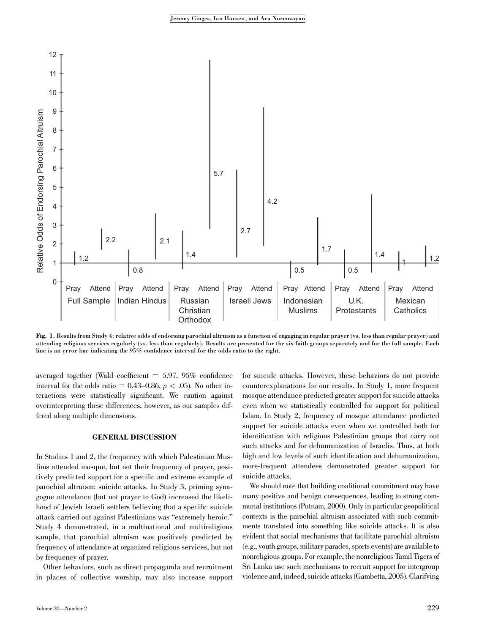

Fig. 1. Results from Study 4: relative odds of endorsing parochial altruism as a function of engaging in regular prayer (vs. less than regular prayer) and attending religious services regularly (vs. less than regularly). Results are presented for the six faith groups separately and for the full sample. Each line is an error bar indicating the 95% confidence interval for the odds ratio to the right.

averaged together (Wald coefficient  $= 5.97, 95\%$  confidence interval for the odds ratio =  $0.43-0.86$ ,  $p < .05$ ). No other interactions were statistically significant. We caution against overinterpreting these differences, however, as our samples differed along multiple dimensions.

#### GENERAL DISCUSSION

In Studies 1 and 2, the frequency with which Palestinian Muslims attended mosque, but not their frequency of prayer, positively predicted support for a specific and extreme example of parochial altruism: suicide attacks. In Study 3, priming synagogue attendance (but not prayer to God) increased the likelihood of Jewish Israeli settlers believing that a specific suicide attack carried out against Palestinians was ''extremely heroic.'' Study 4 demonstrated, in a multinational and multireligious sample, that parochial altruism was positively predicted by frequency of attendance at organized religious services, but not by frequency of prayer.

Other behaviors, such as direct propaganda and recruitment in places of collective worship, may also increase support

for suicide attacks. However, these behaviors do not provide counterexplanations for our results. In Study 1, more frequent mosque attendance predicted greater support for suicide attacks even when we statistically controlled for support for political Islam. In Study 2, frequency of mosque attendance predicted support for suicide attacks even when we controlled both for identification with religious Palestinian groups that carry out such attacks and for dehumanization of Israelis. Thus, at both high and low levels of such identification and dehumanization, more-frequent attendees demonstrated greater support for suicide attacks.

We should note that building coalitional commitment may have many positive and benign consequences, leading to strong communal institutions (Putnam, 2000). Only in particular geopolitical contexts is the parochial altruism associated with such commitments translated into something like suicide attacks. It is also evident that social mechanisms that facilitate parochial altruism (e.g., youth groups, military parades, sports events) are available to nonreligious groups. For example, the nonreligious Tamil Tigers of Sri Lanka use such mechanisms to recruit support for intergroup violence and, indeed, suicide attacks (Gambetta, 2005). Clarifying